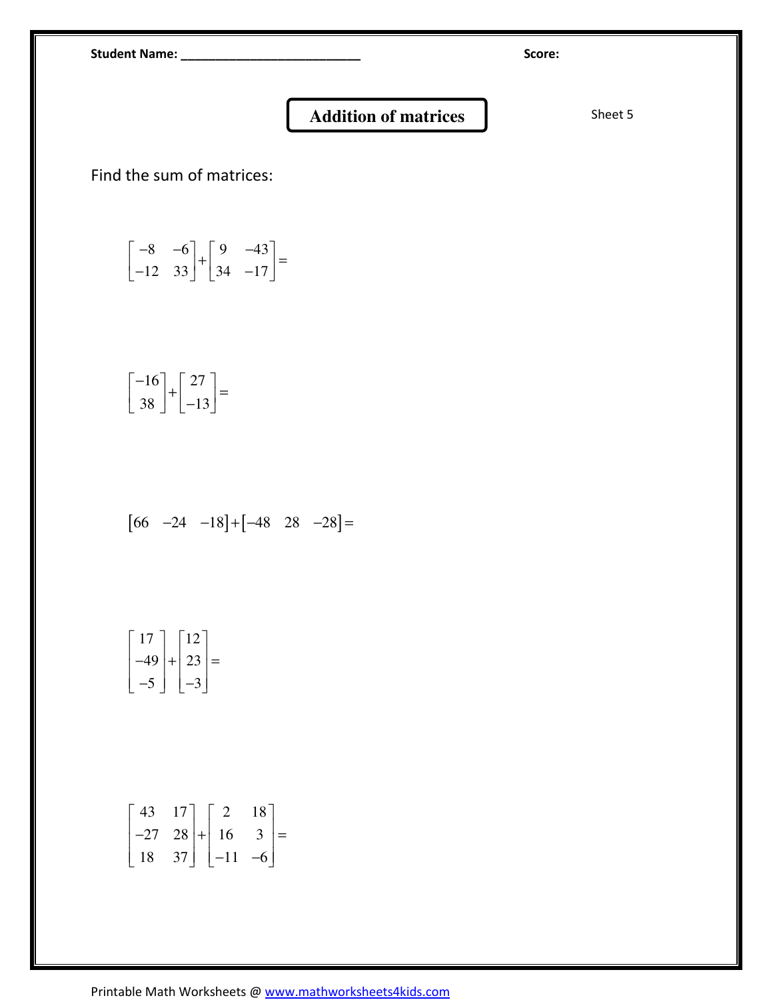Student Name: \_\_\_\_\_\_\_\_\_\_\_\_\_\_\_\_\_\_\_\_\_\_\_\_\_\_ Score:

## Addition of matrices Sheet 5

Find the sum of matrices:

$$
\begin{bmatrix} -8 & -6 \\ -12 & 33 \end{bmatrix} + \begin{bmatrix} 9 & -43 \\ 34 & -17 \end{bmatrix} =
$$

$$
\begin{bmatrix} -16 \\ 38 \end{bmatrix} + \begin{bmatrix} 27 \\ -13 \end{bmatrix} =
$$

$$
[66 \quad -24 \quad -18] + [-48 \quad 28 \quad -28] =
$$

$$
\begin{bmatrix} 17 \\ -49 \\ -5 \end{bmatrix} + \begin{bmatrix} 12 \\ 23 \\ -3 \end{bmatrix} =
$$

$$
\begin{bmatrix} 43 & 17 \ -27 & 28 \ 18 & 37 \end{bmatrix} + \begin{bmatrix} 2 & 18 \ 16 & 3 \ -11 & -6 \end{bmatrix} =
$$

Printable Math Worksheets @ www.mathworksheets4kids.com